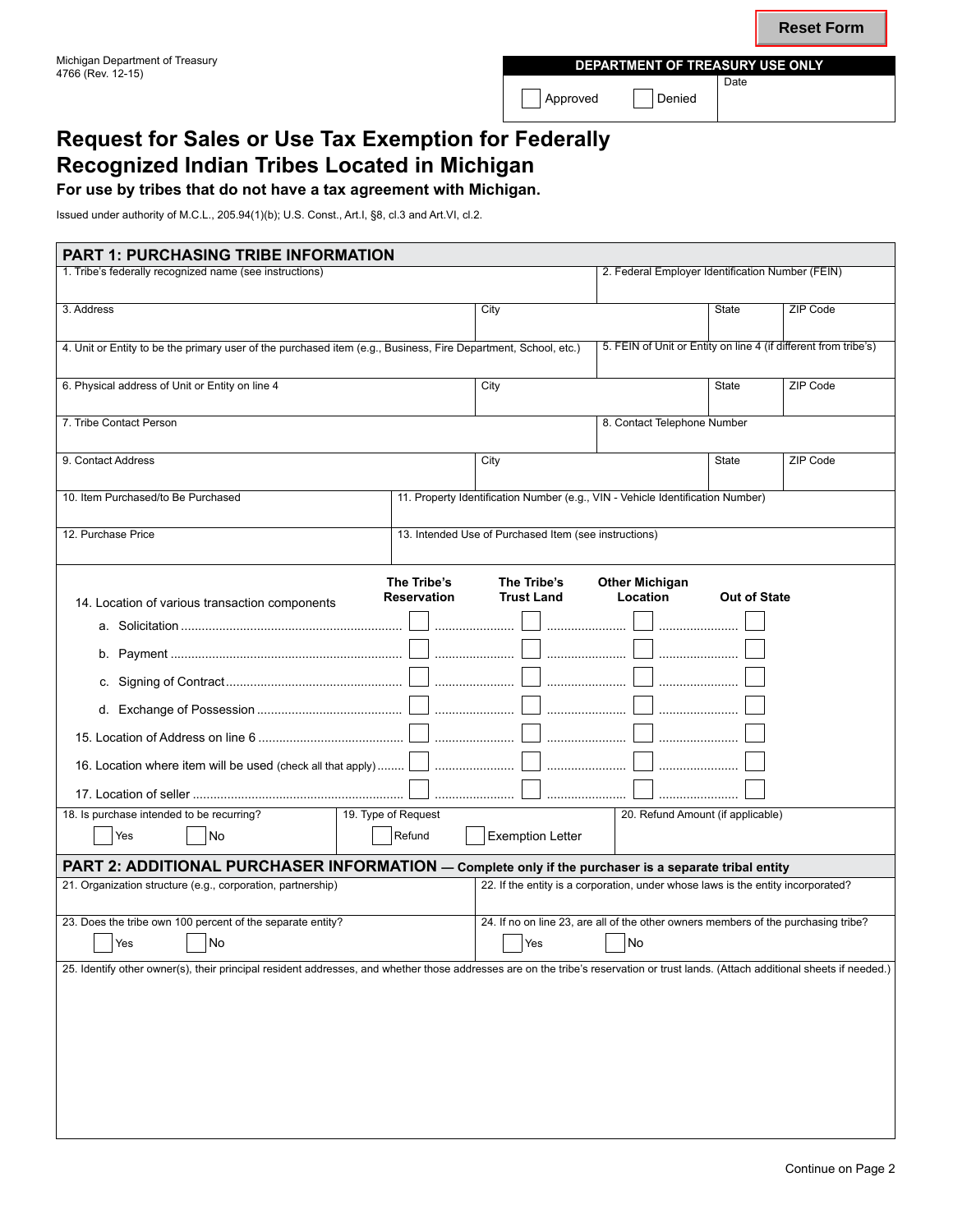4766 (Rev. 12-15) **Department of Treasury Use Only** Date

Approved Denied

# **Request for Sales or Use Tax Exemption for Federally Recognized Indian Tribes Located in Michigan**

**For use by tribes that do not have a tax agreement with Michigan.**

Issued under authority of M.C.L., 205.94(1)(b); U.S. Const., Art.I, §8, cl.3 and Art.VI, cl.2.

| <b>PART 1: PURCHASING TRIBE INFORMATION</b>                                                                                                                                       |                                   |                                                       |                                                                                  |  |  |  |
|-----------------------------------------------------------------------------------------------------------------------------------------------------------------------------------|-----------------------------------|-------------------------------------------------------|----------------------------------------------------------------------------------|--|--|--|
| 1. Tribe's federally recognized name (see instructions)                                                                                                                           |                                   |                                                       | 2. Federal Employer Identification Number (FEIN)                                 |  |  |  |
|                                                                                                                                                                                   |                                   |                                                       |                                                                                  |  |  |  |
| 3. Address                                                                                                                                                                        |                                   | City                                                  | <b>State</b><br>ZIP Code                                                         |  |  |  |
|                                                                                                                                                                                   |                                   |                                                       |                                                                                  |  |  |  |
| 4. Unit or Entity to be the primary user of the purchased item (e.g., Business, Fire Department, School, etc.)                                                                    |                                   |                                                       | 5. FEIN of Unit or Entity on line 4 (if different from tribe's)                  |  |  |  |
|                                                                                                                                                                                   |                                   | City                                                  |                                                                                  |  |  |  |
| 6. Physical address of Unit or Entity on line 4                                                                                                                                   |                                   |                                                       | ZIP Code<br>State                                                                |  |  |  |
| 7. Tribe Contact Person                                                                                                                                                           |                                   |                                                       | 8. Contact Telephone Number                                                      |  |  |  |
|                                                                                                                                                                                   |                                   |                                                       |                                                                                  |  |  |  |
| 9. Contact Address                                                                                                                                                                |                                   | City                                                  | <b>State</b><br>ZIP Code                                                         |  |  |  |
|                                                                                                                                                                                   |                                   |                                                       |                                                                                  |  |  |  |
| 10. Item Purchased/to Be Purchased                                                                                                                                                |                                   |                                                       | 11. Property Identification Number (e.g., VIN - Vehicle Identification Number)   |  |  |  |
|                                                                                                                                                                                   |                                   |                                                       |                                                                                  |  |  |  |
| 12. Purchase Price                                                                                                                                                                |                                   | 13. Intended Use of Purchased Item (see instructions) |                                                                                  |  |  |  |
|                                                                                                                                                                                   |                                   |                                                       |                                                                                  |  |  |  |
|                                                                                                                                                                                   | The Tribe's                       | <b>Other Michigan</b>                                 |                                                                                  |  |  |  |
| 14. Location of various transaction components                                                                                                                                    | The Tribe's<br><b>Reservation</b> | <b>Trust Land</b>                                     | Location<br><b>Out of State</b>                                                  |  |  |  |
|                                                                                                                                                                                   |                                   |                                                       |                                                                                  |  |  |  |
|                                                                                                                                                                                   |                                   |                                                       |                                                                                  |  |  |  |
|                                                                                                                                                                                   |                                   |                                                       |                                                                                  |  |  |  |
|                                                                                                                                                                                   |                                   |                                                       |                                                                                  |  |  |  |
|                                                                                                                                                                                   |                                   |                                                       |                                                                                  |  |  |  |
|                                                                                                                                                                                   |                                   |                                                       |                                                                                  |  |  |  |
|                                                                                                                                                                                   |                                   |                                                       |                                                                                  |  |  |  |
|                                                                                                                                                                                   |                                   |                                                       |                                                                                  |  |  |  |
|                                                                                                                                                                                   |                                   |                                                       |                                                                                  |  |  |  |
|                                                                                                                                                                                   |                                   |                                                       |                                                                                  |  |  |  |
| 18. Is purchase intended to be recurring?                                                                                                                                         | 19. Type of Request               |                                                       | 20. Refund Amount (if applicable)                                                |  |  |  |
| Yes<br>No                                                                                                                                                                         | Refund                            | <b>Exemption Letter</b>                               |                                                                                  |  |  |  |
| PART 2: ADDITIONAL PURCHASER INFORMATION - Complete only if the purchaser is a separate tribal entity                                                                             |                                   |                                                       |                                                                                  |  |  |  |
| 21. Organization structure (e.g., corporation, partnership)                                                                                                                       |                                   |                                                       | 22. If the entity is a corporation, under whose laws is the entity incorporated? |  |  |  |
|                                                                                                                                                                                   |                                   |                                                       |                                                                                  |  |  |  |
| 24. If no on line 23, are all of the other owners members of the purchasing tribe?<br>23. Does the tribe own 100 percent of the separate entity?                                  |                                   |                                                       |                                                                                  |  |  |  |
| $\Box$ Yes $\Box$ No                                                                                                                                                              | $\n  No\n$<br>$\sqrt{1 + 1}$ Yes  |                                                       |                                                                                  |  |  |  |
|                                                                                                                                                                                   |                                   |                                                       |                                                                                  |  |  |  |
| 25. Identify other owner(s), their principal resident addresses, and whether those addresses are on the tribe's reservation or trust lands. (Attach additional sheets if needed.) |                                   |                                                       |                                                                                  |  |  |  |
|                                                                                                                                                                                   |                                   |                                                       |                                                                                  |  |  |  |
|                                                                                                                                                                                   |                                   |                                                       |                                                                                  |  |  |  |
|                                                                                                                                                                                   |                                   |                                                       |                                                                                  |  |  |  |
|                                                                                                                                                                                   |                                   |                                                       |                                                                                  |  |  |  |
|                                                                                                                                                                                   |                                   |                                                       |                                                                                  |  |  |  |
|                                                                                                                                                                                   |                                   |                                                       |                                                                                  |  |  |  |
|                                                                                                                                                                                   |                                   |                                                       |                                                                                  |  |  |  |
|                                                                                                                                                                                   |                                   |                                                       |                                                                                  |  |  |  |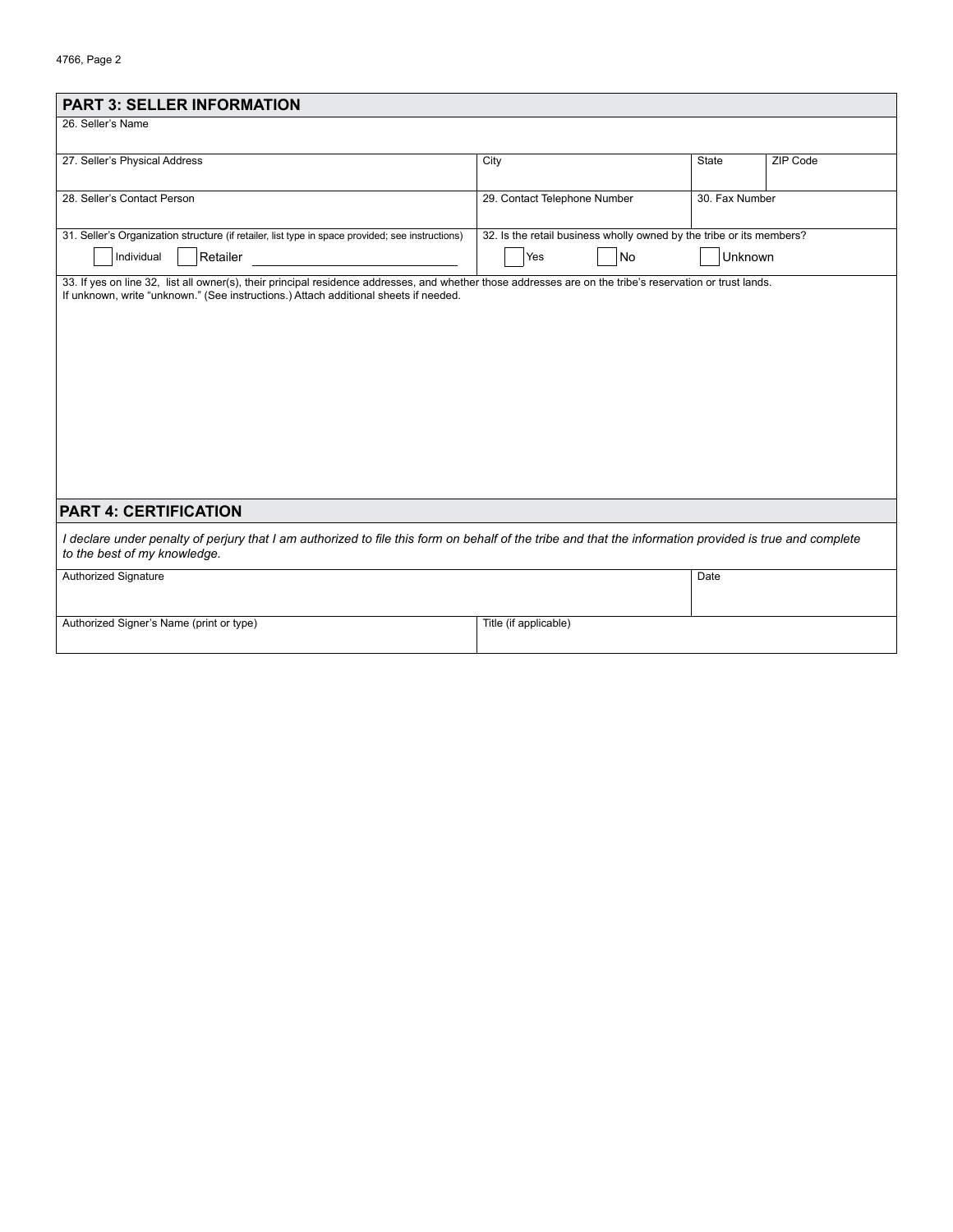| <b>PART 3: SELLER INFORMATION</b>                                                                                                                                                       |                                                                      |                |          |
|-----------------------------------------------------------------------------------------------------------------------------------------------------------------------------------------|----------------------------------------------------------------------|----------------|----------|
| 26. Seller's Name                                                                                                                                                                       |                                                                      |                |          |
|                                                                                                                                                                                         |                                                                      |                |          |
| 27. Seller's Physical Address                                                                                                                                                           | City                                                                 | State          | ZIP Code |
|                                                                                                                                                                                         |                                                                      |                |          |
| 28. Seller's Contact Person                                                                                                                                                             | 29. Contact Telephone Number                                         | 30. Fax Number |          |
|                                                                                                                                                                                         |                                                                      |                |          |
| 31. Seller's Organization structure (if retailer, list type in space provided; see instructions)                                                                                        | 32. Is the retail business wholly owned by the tribe or its members? |                |          |
| Retailer<br>Individual                                                                                                                                                                  | No<br>Yes                                                            | Unknown        |          |
| 33. If yes on line 32, list all owner(s), their principal residence addresses, and whether those addresses are on the tribe's reservation or trust lands.                               |                                                                      |                |          |
| If unknown, write "unknown." (See instructions.) Attach additional sheets if needed.                                                                                                    |                                                                      |                |          |
|                                                                                                                                                                                         |                                                                      |                |          |
|                                                                                                                                                                                         |                                                                      |                |          |
|                                                                                                                                                                                         |                                                                      |                |          |
|                                                                                                                                                                                         |                                                                      |                |          |
|                                                                                                                                                                                         |                                                                      |                |          |
|                                                                                                                                                                                         |                                                                      |                |          |
|                                                                                                                                                                                         |                                                                      |                |          |
|                                                                                                                                                                                         |                                                                      |                |          |
|                                                                                                                                                                                         |                                                                      |                |          |
|                                                                                                                                                                                         |                                                                      |                |          |
|                                                                                                                                                                                         |                                                                      |                |          |
| <b>PART 4: CERTIFICATION</b>                                                                                                                                                            |                                                                      |                |          |
| I declare under penalty of perjury that I am authorized to file this form on behalf of the tribe and that the information provided is true and complete<br>to the best of my knowledge. |                                                                      |                |          |
| <b>Authorized Signature</b>                                                                                                                                                             |                                                                      | Date           |          |
|                                                                                                                                                                                         |                                                                      |                |          |
|                                                                                                                                                                                         |                                                                      |                |          |
| Authorized Signer's Name (print or type)                                                                                                                                                | Title (if applicable)                                                |                |          |
|                                                                                                                                                                                         |                                                                      |                |          |